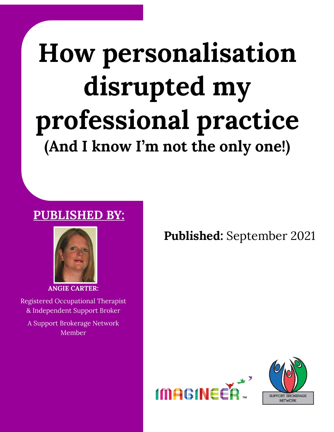# **How personalisation disrupted my professional practice (And I know I'm not the only one!)**

### **PUBLISHED BY:**



**ANGIE CARTER:**

Registered Occupational Therapist & Independent Support Broker

A Support Brokerage Network Member

**Published:** September 2021



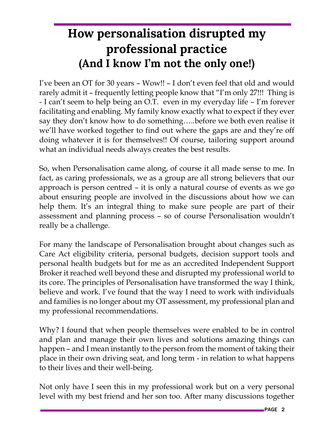## **How personalisation disrupted my professional practice (And I know I'm not the only one!)**

I've been an OT for 30 years – Wow!! – I don't even feel that old and would rarely admit it – frequently letting people know that "I'm only 27!!! Thing is - I can't seem to help being an O.T. even in my everyday life – I'm forever facilitating and enabling. My family know exactly what to expect if they ever say they don't know how to do something…..before we both even realise it we'll have worked together to find out where the gaps are and they're off doing whatever it is for themselves!! Of course, tailoring support around what an individual needs always creates the best results.

So, when Personalisation came along, of course it all made sense to me. In fact, as caring professionals, we as a group are all strong believers that our approach is person centred – it is only a natural course of events as we go about ensuring people are involved in the discussions about how we can help them. It's an integral thing to make sure people are part of their assessment and planning process – so of course Personalisation wouldn't really be a challenge.

For many the landscape of Personalisation brought about changes such as Care Act eligibility criteria, personal budgets, decision support tools and personal health budgets but for me as an accredited Independent Support Broker it reached well beyond these and disrupted my professional world to its core. The principles of Personalisation have transformed the way I think, believe and work. I've found that the way I need to work with individuals and families is no longer about my OT assessment, my professional plan and my professional recommendations.

Why? I found that when people themselves were enabled to be in control and plan and manage their own lives and solutions amazing things can happen – and I mean instantly to the person from the moment of taking their place in their own driving seat, and long term - in relation to what happens to their lives and their well-being.

Not only have I seen this in my professional work but on a very personal level with my best friend and her son too. After many discussions together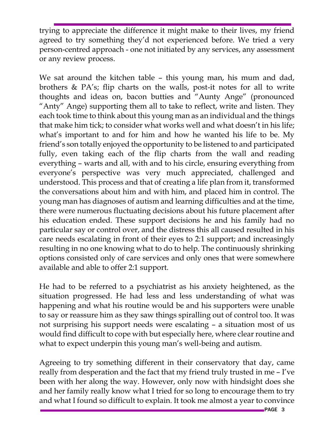trying to appreciate the difference it might make to their lives, my friend agreed to try something they'd not experienced before. We tried a very person-centred approach - one not initiated by any services, any assessment or any review process.

We sat around the kitchen table – this young man, his mum and dad, brothers & PA's; flip charts on the walls, post-it notes for all to write thoughts and ideas on, bacon butties and "Aunty Ange" (pronounced "Anty" Ange) supporting them all to take to reflect, write and listen. They each took time to think about this young man as an individual and the things that make him tick; to consider what works well and what doesn't in his life; what's important to and for him and how he wanted his life to be. My friend's son totally enjoyed the opportunity to be listened to and participated fully, even taking each of the flip charts from the wall and reading everything – warts and all, with and to his circle, ensuring everything from everyone's perspective was very much appreciated, challenged and understood. This process and that of creating a life plan from it, transformed the conversations about him and with him, and placed him in control. The young man has diagnoses of autism and learning difficulties and at the time, there were numerous fluctuating decisions about his future placement after his education ended. These support decisions he and his family had no particular say or control over, and the distress this all caused resulted in his care needs escalating in front of their eyes to 2:1 support; and increasingly resulting in no one knowing what to do to help. The continuously shrinking options consisted only of care services and only ones that were somewhere available and able to offer 2:1 support.

He had to be referred to a psychiatrist as his anxiety heightened, as the situation progressed. He had less and less understanding of what was happening and what his routine would be and his supporters were unable to say or reassure him as they saw things spiralling out of control too. It was not surprising his support needs were escalating – a situation most of us would find difficult to cope with but especially here, where clear routine and what to expect underpin this young man's well-being and autism.

Agreeing to try something different in their conservatory that day, came really from desperation and the fact that my friend truly trusted in me – I've been with her along the way. However, only now with hindsight does she and her family really know what I tried for so long to encourage them to try and what I found so difficult to explain. It took me almost a year to convince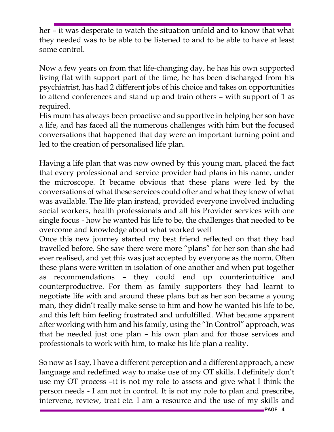her – it was desperate to watch the situation unfold and to know that what they needed was to be able to be listened to and to be able to have at least some control.

Now a few years on from that life-changing day, he has his own supported living flat with support part of the time, he has been discharged from his psychiatrist, has had 2 different jobs of his choice and takes on opportunities to attend conferences and stand up and train others – with support of 1 as required.

His mum has always been proactive and supportive in helping her son have a life, and has faced all the numerous challenges with him but the focused conversations that happened that day were an important turning point and led to the creation of personalised life plan.

Having a life plan that was now owned by this young man, placed the fact that every professional and service provider had plans in his name, under the microscope. It became obvious that these plans were led by the conversations of what these services could offer and what they knew of what was available. The life plan instead, provided everyone involved including social workers, health professionals and all his Provider services with one single focus - how he wanted his life to be, the challenges that needed to be overcome and knowledge about what worked well

Once this new journey started my best friend reflected on that they had travelled before. She saw there were more "plans" for her son than she had ever realised, and yet this was just accepted by everyone as the norm. Often these plans were written in isolation of one another and when put together as recommendations – they could end up counterintuitive and counterproductive. For them as family supporters they had learnt to negotiate life with and around these plans but as her son became a young man, they didn't really make sense to him and how he wanted his life to be, and this left him feeling frustrated and unfulfilled. What became apparent after working with him and his family, using the "In Control" approach, was that he needed just one plan – his own plan and for those services and professionals to work with him, to make his life plan a reality.

So now as I say, I have a different perception and a different approach, a new language and redefined way to make use of my OT skills. I definitely don't use my OT process –it is not my role to assess and give what I think the person needs - I am not in control. It is not my role to plan and prescribe, intervene, review, treat etc. I am a resource and the use of my skills and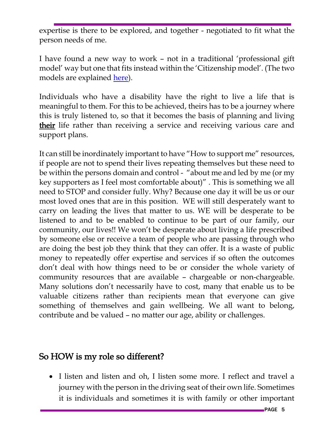expertise is there to be explored, and together - negotiated to fit what the person needs of me.

I have found a new way to work – not in a traditional 'professional gift model' way but one that fits instead within the 'Citizenship model'. (The two models are explained [here\)](https://centreforwelfarereform.org/library/citizenship-professional-gift-models.html).

Individuals who have a disability have the right to live a life that is meaningful to them. For this to be achieved, theirs has to be a journey where this is truly listened to, so that it becomes the basis of planning and living their life rather than receiving a service and receiving various care and support plans.

It can still be inordinately important to have "How to support me" resources, if people are not to spend their lives repeating themselves but these need to be within the persons domain and control - "about me and led by me (or my key supporters as I feel most comfortable about)" . This is something we all need to STOP and consider fully. Why? Because one day it will be us or our most loved ones that are in this position. WE will still desperately want to carry on leading the lives that matter to us. WE will be desperate to be listened to and to be enabled to continue to be part of our family, our community, our lives!! We won't be desperate about living a life prescribed by someone else or receive a team of people who are passing through who are doing the best job they think that they can offer. It is a waste of public money to repeatedly offer expertise and services if so often the outcomes don't deal with how things need to be or consider the whole variety of community resources that are available – chargeable or non-chargeable. Many solutions don't necessarily have to cost, many that enable us to be valuable citizens rather than recipients mean that everyone can give something of themselves and gain wellbeing. We all want to belong, contribute and be valued – no matter our age, ability or challenges.

#### So HOW is my role so different?

• I listen and listen and oh, I listen some more. I reflect and travel a journey with the person in the driving seat of their own life. Sometimes it is individuals and sometimes it is with family or other important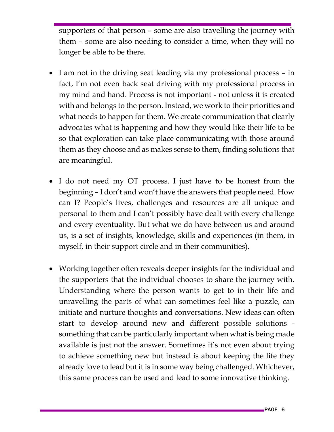supporters of that person – some are also travelling the journey with them – some are also needing to consider a time, when they will no longer be able to be there.

- I am not in the driving seat leading via my professional process in fact, I'm not even back seat driving with my professional process in my mind and hand. Process is not important - not unless it is created with and belongs to the person. Instead, we work to their priorities and what needs to happen for them. We create communication that clearly advocates what is happening and how they would like their life to be so that exploration can take place communicating with those around them as they choose and as makes sense to them, finding solutions that are meaningful.
- I do not need my OT process. I just have to be honest from the beginning – I don't and won't have the answers that people need. How can I? People's lives, challenges and resources are all unique and personal to them and I can't possibly have dealt with every challenge and every eventuality. But what we do have between us and around us, is a set of insights, knowledge, skills and experiences (in them, in myself, in their support circle and in their communities).
- Working together often reveals deeper insights for the individual and the supporters that the individual chooses to share the journey with. Understanding where the person wants to get to in their life and unravelling the parts of what can sometimes feel like a puzzle, can initiate and nurture thoughts and conversations. New ideas can often start to develop around new and different possible solutions something that can be particularly important when what is being made available is just not the answer. Sometimes it's not even about trying to achieve something new but instead is about keeping the life they already love to lead but it is in some way being challenged. Whichever, this same process can be used and lead to some innovative thinking.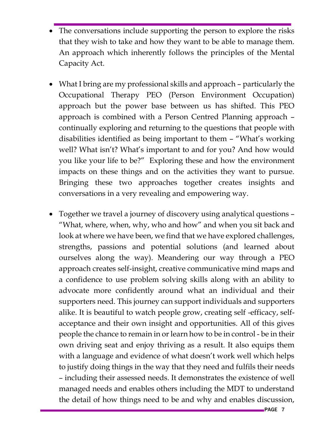- The conversations include supporting the person to explore the risks that they wish to take and how they want to be able to manage them. An approach which inherently follows the principles of the Mental Capacity Act.
- What I bring are my professional skills and approach particularly the Occupational Therapy PEO (Person Environment Occupation) approach but the power base between us has shifted. This PEO approach is combined with a Person Centred Planning approach – continually exploring and returning to the questions that people with disabilities identified as being important to them – "What's working well? What isn't? What's important to and for you? And how would you like your life to be?" Exploring these and how the environment impacts on these things and on the activities they want to pursue. Bringing these two approaches together creates insights and conversations in a very revealing and empowering way.
- Together we travel a journey of discovery using analytical questions "What, where, when, why, who and how" and when you sit back and look at where we have been, we find that we have explored challenges, strengths, passions and potential solutions (and learned about ourselves along the way). Meandering our way through a PEO approach creates self-insight, creative communicative mind maps and a confidence to use problem solving skills along with an ability to advocate more confidently around what an individual and their supporters need. This journey can support individuals and supporters alike. It is beautiful to watch people grow, creating self -efficacy, selfacceptance and their own insight and opportunities. All of this gives people the chance to remain in or learn how to be in control - be in their own driving seat and enjoy thriving as a result. It also equips them with a language and evidence of what doesn't work well which helps to justify doing things in the way that they need and fulfils their needs – including their assessed needs. It demonstrates the existence of well managed needs and enables others including the MDT to understand the detail of how things need to be and why and enables discussion,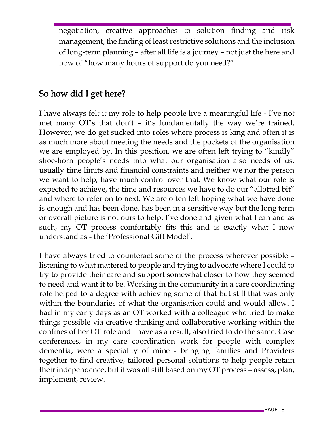negotiation, creative approaches to solution finding and risk management, the finding of least restrictive solutions and the inclusion of long-term planning – after all life is a journey – not just the here and now of "how many hours of support do you need?"

#### So how did I get here?

I have always felt it my role to help people live a meaningful life - I've not met many OT's that don't – it's fundamentally the way we're trained. However, we do get sucked into roles where process is king and often it is as much more about meeting the needs and the pockets of the organisation we are employed by. In this position, we are often left trying to "kindly" shoe-horn people's needs into what our organisation also needs of us, usually time limits and financial constraints and neither we nor the person we want to help, have much control over that. We know what our role is expected to achieve, the time and resources we have to do our "allotted bit" and where to refer on to next. We are often left hoping what we have done is enough and has been done, has been in a sensitive way but the long term or overall picture is not ours to help. I've done and given what I can and as such, my OT process comfortably fits this and is exactly what I now understand as - the 'Professional Gift Model'.

I have always tried to counteract some of the process wherever possible – listening to what mattered to people and trying to advocate where I could to try to provide their care and support somewhat closer to how they seemed to need and want it to be. Working in the community in a care coordinating role helped to a degree with achieving some of that but still that was only within the boundaries of what the organisation could and would allow. I had in my early days as an OT worked with a colleague who tried to make things possible via creative thinking and collaborative working within the confines of her OT role and I have as a result, also tried to do the same. Case conferences, in my care coordination work for people with complex dementia, were a speciality of mine - bringing families and Providers together to find creative, tailored personal solutions to help people retain their independence, but it was all still based on my OT process – assess, plan, implement, review.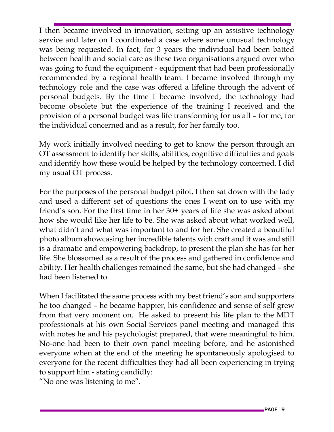I then became involved in innovation, setting up an assistive technology service and later on I coordinated a case where some unusual technology was being requested. In fact, for 3 years the individual had been batted between health and social care as these two organisations argued over who was going to fund the equipment - equipment that had been professionally recommended by a regional health team. I became involved through my technology role and the case was offered a lifeline through the advent of personal budgets. By the time I became involved, the technology had become obsolete but the experience of the training I received and the provision of a personal budget was life transforming for us all – for me, for the individual concerned and as a result, for her family too.

My work initially involved needing to get to know the person through an OT assessment to identify her skills, abilities, cognitive difficulties and goals and identify how these would be helped by the technology concerned. I did my usual OT process.

For the purposes of the personal budget pilot, I then sat down with the lady and used a different set of questions the ones I went on to use with my friend's son. For the first time in her 30+ years of life she was asked about how she would like her life to be. She was asked about what worked well, what didn't and what was important to and for her. She created a beautiful photo album showcasing her incredible talents with craft and it was and still is a dramatic and empowering backdrop, to present the plan she has for her life. She blossomed as a result of the process and gathered in confidence and ability. Her health challenges remained the same, but she had changed – she had been listened to.

When I facilitated the same process with my best friend's son and supporters he too changed – he became happier, his confidence and sense of self grew from that very moment on. He asked to present his life plan to the MDT professionals at his own Social Services panel meeting and managed this with notes he and his psychologist prepared, that were meaningful to him. No-one had been to their own panel meeting before, and he astonished everyone when at the end of the meeting he spontaneously apologised to everyone for the recent difficulties they had all been experiencing in trying to support him - stating candidly:

"No one was listening to me".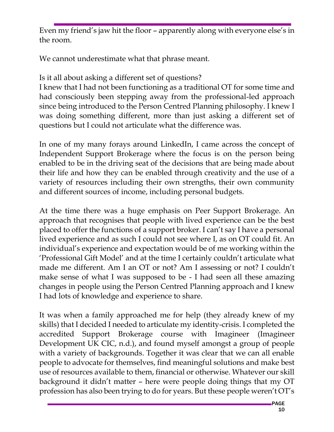Even my friend's jaw hit the floor – apparently along with everyone else's in the room.

We cannot underestimate what that phrase meant.

Is it all about asking a different set of questions?

I knew that I had not been functioning as a traditional OT for some time and had consciously been stepping away from the professional-led approach since being introduced to the Person Centred Planning philosophy. I knew I was doing something different, more than just asking a different set of questions but I could not articulate what the difference was.

In one of my many forays around LinkedIn, I came across the concept of Independent Support Brokerage where the focus is on the person being enabled to be in the driving seat of the decisions that are being made about their life and how they can be enabled through creativity and the use of a variety of resources including their own strengths, their own community and different sources of income, including personal budgets.

At the time there was a huge emphasis on Peer Support Brokerage. An approach that recognises that people with lived experience can be the best placed to offer the functions of a support broker. I can't say I have a personal lived experience and as such I could not see where I, as on OT could fit. An individual's experience and expectation would be of me working within the 'Professional Gift Model' and at the time I certainly couldn't articulate what made me different. Am I an OT or not? Am I assessing or not? I couldn't make sense of what I was supposed to be - I had seen all these amazing changes in people using the Person Centred Planning approach and I knew I had lots of knowledge and experience to share.

It was when a family approached me for help (they already knew of my skills) that I decided I needed to articulate my identity-crisis. I completed the accredited Support Brokerage course with Imagineer (Imagineer Development UK CIC, n.d.), and found myself amongst a group of people with a variety of backgrounds. Together it was clear that we can all enable people to advocate for themselves, find meaningful solutions and make best use of resources available to them, financial or otherwise. Whatever our skill background it didn't matter – here were people doing things that my OT profession has also been trying to do for years. But these people weren't OT's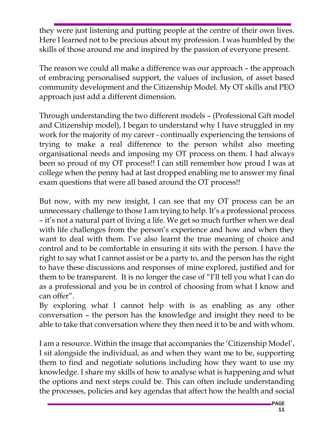they were just listening and putting people at the centre of their own lives. Here I learned not to be precious about my profession. I was humbled by the skills of those around me and inspired by the passion of everyone present.

The reason we could all make a difference was our approach – the approach of embracing personalised support, the values of inclusion, of asset based community development and the Citizenship Model. My OT skills and PEO approach just add a different dimension.

Through understanding the two different models – (Professional Gift model and Citizenship model), I began to understand why I have struggled in my work for the majority of my career - continually experiencing the tensions of trying to make a real difference to the person whilst also meeting organisational needs and imposing my OT process on them. I had always been so proud of my OT process!! I can still remember how proud I was at college when the penny had at last dropped enabling me to answer my final exam questions that were all based around the OT process!!

But now, with my new insight, I can see that my OT process can be an unnecessary challenge to those I am trying to help. It's a professional process – it's not a natural part of living a life. We get so much further when we deal with life challenges from the person's experience and how and when they want to deal with them. I've also learnt the true meaning of choice and control and to be comfortable in ensuring it sits with the person. I have the right to say what I cannot assist or be a party to, and the person has the right to have these discussions and responses of mine explored, justified and for them to be transparent. It is no longer the case of "I'll tell you what I can do as a professional and you be in control of choosing from what I know and can offer".

By exploring what I cannot help with is as enabling as any other conversation – the person has the knowledge and insight they need to be able to take that conversation where they then need it to be and with whom.

I am a resource. Within the image that accompanies the 'Citizenship Model', I sit alongside the individual, as and when they want me to be, supporting them to find and negotiate solutions including how they want to use my knowledge. I share my skills of how to analyse what is happening and what the options and next steps could be. This can often include understanding the processes, policies and key agendas that affect how the health and social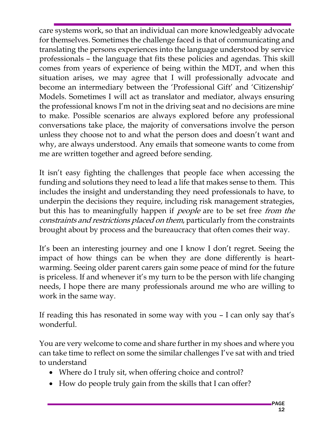care systems work, so that an individual can more knowledgeably advocate for themselves. Sometimes the challenge faced is that of communicating and translating the persons experiences into the language understood by service professionals – the language that fits these policies and agendas. This skill comes from years of experience of being within the MDT, and when this situation arises, we may agree that I will professionally advocate and become an intermediary between the 'Professional Gift' and 'Citizenship' Models. Sometimes I will act as translator and mediator, always ensuring the professional knows I'm not in the driving seat and no decisions are mine to make. Possible scenarios are always explored before any professional conversations take place, the majority of conversations involve the person unless they choose not to and what the person does and doesn't want and why, are always understood. Any emails that someone wants to come from me are written together and agreed before sending.

It isn't easy fighting the challenges that people face when accessing the funding and solutions they need to lead a life that makes sense to them. This includes the insight and understanding they need professionals to have, to underpin the decisions they require, including risk management strategies, but this has to meaningfully happen if *people* are to be set free *from the* constraints and restrictions placed on them, particularly from the constraints brought about by process and the bureaucracy that often comes their way.

It's been an interesting journey and one I know I don't regret. Seeing the impact of how things can be when they are done differently is heartwarming. Seeing older parent carers gain some peace of mind for the future is priceless. If and whenever it's my turn to be the person with life changing needs, I hope there are many professionals around me who are willing to work in the same way.

If reading this has resonated in some way with you – I can only say that's wonderful.

You are very welcome to come and share further in my shoes and where you can take time to reflect on some the similar challenges I've sat with and tried to understand

- Where do I truly sit, when offering choice and control?
- How do people truly gain from the skills that I can offer?